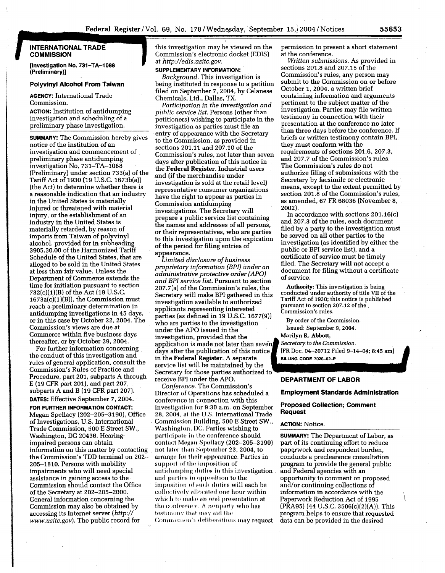## **INTERNATIONAL TRADE COMMISSION**

**[Investigation No. 731-TA-1088 (Preliminary)]** 

### **Polyvinyl Alcohol From Taiwan**

**AGENCY:** International Trade Commission.

**ACTION:** Institution of antidumping investigation and scheduling of a preliminary phase investigation.

**SUMMARY:** The Commission hereby gives notice of the institution of an investigation and commencement of preliminary phase antidumping investigation No. 731-TA-1088 (Preliminary) under section 733(a) of the Tariff Act of 1930 (19 U.S.C. 1673b(a)) (the Act) to determine whether there is a reasonable indication that an industry in the United States is materially injured or threatened with material injury, or the establishment of an industry in the United States is materially retarded, by reason of imports from Taiwan of polyvinyl alcohol, provided for in subheading 3905.30.00 of the Harmonized Tariff Schedule of the United States, that are alleged to be sold in the United States at less than fair value. Unless the Department of Commerce extends the time for initiation pursuant to section 732(c)(l)(B) of the Act (19 U.S.C.  $1673a(c)(1)(B)$ , the Commission must reach a preliminary determination in antidumping investigations in 45 days, or in this case by October 22, 2004. The Commission's views are due at Commerce within five business days thereafter, or by October 29, 2004.

For further information concerning the conduct of this investigation and rules of general application, consult the Commission's Rules of Practice and Procedure, part 201, subparts A through E (19 CFR part 201), and part 207, subparts A and B (19 CFR part 207). **DATES:** Effective September 7, 2004.

**FOR FURTHER INFORMATION CONTACT:**  Megan Spellacy (202-205-3190), Office of Investigations, U.S. International Trade Commission, 500 E Street SW., Washington, DC 20436. Hearingimpaired persons can obtain information on this matter by contacting the Commission's TDD terminal on 202- 205-1810. Persons with mobility impairments who will need special assistance in gaining access to the Commission should contact the Office of the Secretary at 202-205-2000. General information concerning the Commission may also be obtained by accessing its Internet server *(http:// www.usitc.gov).* The public record for

this investigation may be viewed on the Commission's electronic docket (EDIS) at *http://edis. usitc.gov.* 

# **SUPPLEMENTARY INFORMATION:**

*Background.* This investigation is being instituted in response to a petition filed on September 7, 2004, by Celanese Chemicals, Ltd., Dallas, TX.

*Participation in the investigation and public service list.* Persons (other than petitioners) wishing to participate in the investigation as parties must file an entry *of* appearance with the Secretary to the Commission, as provided in sections 201.11 and 207.10 of the Commission's rules, not later than seven days after publication of this notice in the Federal Register. Industrial users and (if the merchandise under investigation is sold at the retail level) representative consumer organizations have the right to appear as parties in Commission antidumping investigations. The Secretary will prepare a public service list containing the names and addresses of all persons, or their representatives, who are parties to this investigation upon the expiration of the period for filing entries of appearance.

*Limited disclosure of business proprietary information (BPI) under an administrative protective order (APO) and BPI service list.* Pursuant to section 207.7(a) of the Commission's rules, the Secretary will make BPI gathered in this investigation available to authorized applicants representing interested parties (as defined in 19 U.S.C. 1677(9)) who are parties to the investigation under the APO issued in the application is made not later than seven. days after the publication of this notice investigation, provided that the in the Federal Register. A separate service list will be maintained by the Secretary for those parties authorized to receive BPI under the APO. **DEPARTMENT OF LABOR** 

Director of Operations has scheduled a conference in connection with this investigation for 9:30 a.m. on September 28, 2004, at the U.S. International Trade Commission Building, 500 E Street SW., Washington, DC. Parties wishing to participate in the conference should contact Megan Spellacy (202-205-3190) not later than September 23, 2004, to arrange for their appearance. Parties in support of the imposition of antidumping duties in this investigation and parties in opposition to the imposition of such duties will each be collectively allocated one hour within which to make an oral presentation at the conference. A nonparty who has testimony that may aid the Commission's deliberations may request

permission to present a short statement at the conference.

*Written submissions.* As provided in sections 201.8 and 207.15 of the Commission's rules, any person may submit to the Commission on **or** before October 1, 2004, a written brief containing information and arguments pertinent to the subject matter of the investigation. Parties may file written testimony in connection with their presentation at the conference no later than three days before the conference. If briefs or written testimony contain BPI, they must conform with the requirements of sections 201.6, 207.3, and 207.7 of the Commission's rules. The Commission's rules do not authorize filing of submissions with the Secretary by facsimile or electronic means, except to the extent permitted by section 201.8 of the Commission's rules, as amended, 67 FR 68036 (November *8,*  2002).

In accordance with sections 201.16(c) and 207.3 of the rules, each document filed by a party to the investigation must be served on all other parties to the investigation (as identified by either the public or BPI service list), and a certificate of service must be timely filed. The Secretary will not accept a document for filing without a certificate of service.

**Authority: This investigation is being conducted under authority** of **title VI1** of **the Tariff Act of 1930; this notice is published pursuant to section 207.12** of **the Commission's rules.** 

**By order** of **the Commission.** 

**Issued: September 9, 2004.** 

**Marilyn R. Abbott,** 

Secretary to the Commission.

[FR Doc. 04-20712 Filed 9-14-04; 8:45 am] BILLING CODE 7020-02-P

**Employment Standards Administration** 

# **Proposed Collection; Comment Request**

### **ACTION:** Notice.

**SUMMARY:** The Department of Labor, as part of its continuing effort to reduce paperwork and respondent burden, conducts a preclearance consultation program to provide the general public and Federal agencies with an opportunity to comment on proposed and/or continuing collections of information in accordance with the Paperwork Reduction Act of 1995 (PRA95) (44 U.S.C. 3506(c)(2)(A)). This program helps to ensure that requested data can be provided in the desired

 $\int$